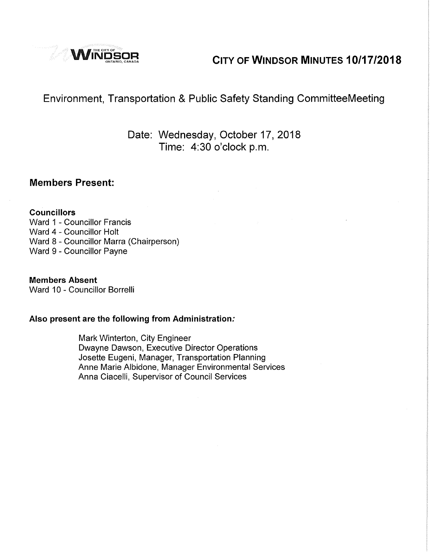

# **Windsor CITY OF WINDSOR MINUTES 10/17/2018**

# Environment, Transportation & Public Safety Standing CommitteeMeeting

# Date: Wednesday, October 17, 2018 Time: 4:30 o'clock p.m.

#### **Members Present:**

#### **Councillors**

Ward 1 - Councillor Francis Ward 4 - Councillor Holt Ward 8 - Councillor Marra (Chairperson) Ward 9 - Councillor Payne

#### **Members Absent**

Ward 10 - Councillor Borrelli

#### **Also present are the following from Administration:**

Mark Winterton, City Engineer Dwayne Dawson, Executive Director Operations Josette Eugeni, Manager, Transportation Planning Anne Marie Albidone, Manager Environmental Services Anna Ciacelli, Supervisor of Council Services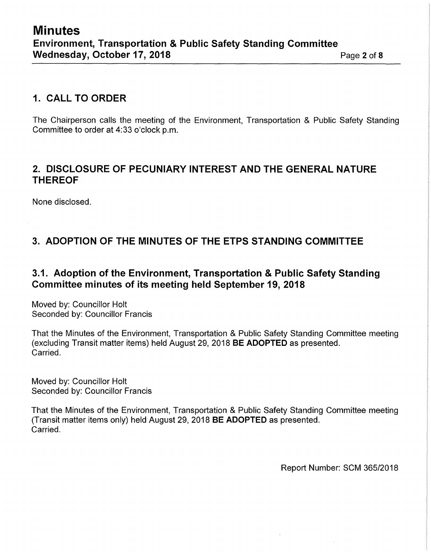# **1. CALL TO ORDER**

The Chairperson calls the meeting of the Environment, Transportation & Public Safety Standing Committee to order at 4:33 o'clock p.m.

#### **2. DISCLOSURE OF PECUNIARY INTEREST AND THE GENERAL NATURE THEREOF**

None disclosed.

# **3. ADOPTION OF THE MINUTES OF THE ETPS STANDING COMMITTEE**

#### **3.1. Adoption of the Environment, Transportation & Public Safety Standing Committee minutes of its meeting held September 19, 2018**

Moved by: Councillor Holt Seconded by: Councillor Francis

That the Minutes of the Environment, Transportation & Public Safety Standing Committee meeting (excluding Transit matter items) held August 29, 2018 **BE ADOPTED** as presented. Carried.

Moved by: Councillor Holt Seconded by: Councillor Francis

That the Minutes of the Environment, Transportation & Public Safety Standing Committee meeting (Transit matter items only) held August 29, 2018 **BE ADOPTED** as presented. Carried.

Report Number: SCM 365/2018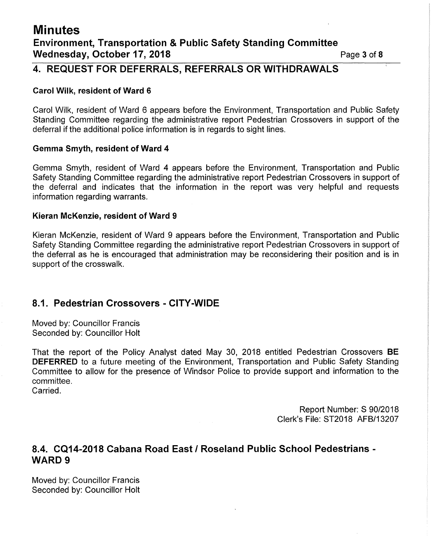# **Minutes Environment, Transportation & Public Safety Standing Committee Wednesday, October 17, 2018 Page 3 of 8 Page 3 of 8**

# **4. REQUEST FOR DEFERRALS, REFERRALS OR WITHDRAWALS**

#### **Carol Wilk, resident of Ward 6**

Carol Wilk, resident of Ward 6 appears before the Environment, Transportation and Public Safety Standing Committee regarding the administrative report Pedestrian Crossovers in support of the deferral if the additional police information is in regards to sight lines.

#### **Gemma Smyth, resident of Ward 4**

Gemma Smyth, resident of Ward 4 appears before the Environment, Transportation and Public Safety Standing Committee regarding the administrative report Pedestrian Crossovers in support of the deferral and indicates that the information in the report was very helpful and requests information regarding warrants.

#### **Kieran McKenzie, resident of Ward 9**

Kieran McKenzie, resident of Ward 9 appears before the Environment, Transportation and Public Safety Standing Committee regarding the administrative report Pedestrian Crossovers in support of the deferral as he is encouraged that administration may be reconsidering their position and is in support of the crosswalk.

#### **8.1. Pedestrian Crossovers - CITY-WIDE**

Moved by: Councillor Francis Seconded by: Councillor Holt

That the report of the Policy Analyst dated May 30, 2018 entitled Pedestrian Crossovers **BE DEFERRED** to a future meeting of the Environment, Transportation and Public Safety Standing Committee to allow for the presence of Windsor Police to provide support and information to the committee. Carried.

> Report Number: S 90/2018 Clerk's File: ST2018 AFB/13207

# **8.4. CQ14-2018 Cabana Road East/ Roseland Public School Pedestrians** - WARD 9

Moved by: Councillor Francis Seconded by: Councillor Holt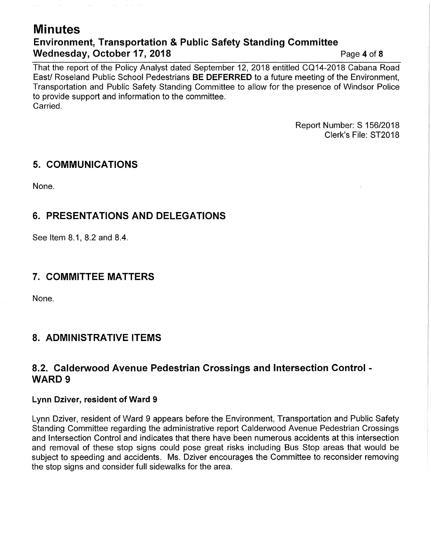# **Minutes Environment, Transportation & Public Safety Standing Committee Wednesday, October 17, 2018 Page 4 of 8 Page 4 of 8**

That the report of the Policy Analyst dated September 12, 2018 entitled CQ14-2018 Cabana Road East/ Roseland Public School Pedestrians **BE DEFERRED** to a future meeting of the Environment, Transportation and Public Safety Standing Committee to allow for the presence of Windsor Police to provide support and information to the committee. **Carried** 

> Report Number: S 156/2018 Clerk's File: ST2018

#### **5. COMMUNICATIONS**

 $\sim 10^{-1}$ 

 $\sim$   $\sim$ 

 $\sim 10^{-1}$ 

 $\sim 10^{11}$  and  $\sim 10^{11}$ 

None.

# **6. PRESENTATIONS AND DELEGATIONS**

See Item 8.1, 8.2 and 8.4.

### **7. COMMITTEE MATTERS**

None.

# **8. ADMINISTRATIVE ITEMS**

#### **8.2. Calderwood Avenue Pedestrian Crossings and Intersection Control** - WARD 9

#### **Lynn Dziver, resident of Ward 9**

Lynn Dziver, resident of Ward 9 appears before the Environment, Transportation and Public Safety Standing Committee regarding the administrative report Calderwood Avenue Pedestrian Crossings and Intersection Control and indicates that there have been numerous accidents at this intersection and removal of these stop signs could pose great risks including Bus Stop areas that would be subject to speeding and accidents. Ms. Dziver encourages the Committee to reconsider removing the stop signs and consider full sidewalks for the area.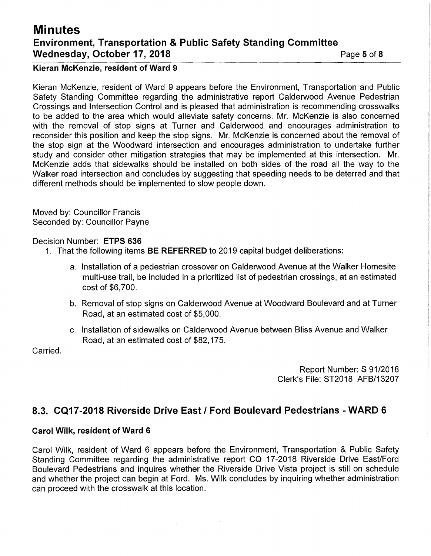# **Minutes Environment, Transportation & Public Safety Standing Committee Wednesday, October 17, 2018 Page 18 Page 5 of 8**

#### **Kieran McKenzie, resident of Ward 9**

Kieran McKenzie, resident of Ward 9 appears before the Environment, Transportation and Public Safety Standing Committee regarding the administrative report Calderwood Avenue Pedestrian Crossings and Intersection Control and is pleased that administration is recommending crosswalks to be added to the area which would alleviate safety concerns. Mr. McKenzie is also concerned with the removal of stop signs at Turner and Calderwood and encourages administration to reconsider this position and keep the stop signs. Mr. McKenzie is concerned about the removal of the stop sign at the Woodward intersection and encourages administration to undertake further study and consider other mitigation strategies that may be implemented at this intersection. Mr. McKenzie adds that sidewalks should be installed on both sides of the road all the way to the Walker road intersection and concludes by suggesting that speeding needs to be deterred and that different methods should be implemented to slow people down.

Moved by: Councillor Francis Seconded by: Councillor Payne

#### Decision Number: **ETPS 636**

- 1. That the following items **BE REFERRED** to 2019 capital budget deliberations:
	- a. Installation of a pedestrian crossover on Calderwood Avenue at the Walker Homesite multi-use trail, be included in a prioritized list of pedestrian crossings, at an estimated cost of \$6,700.
	- b. Removal of stop signs on Calderwood Avenue at Woodward Boulevard and at Turner Road, at an estimated cost of \$5,000.
	- c. Installation of sidewalks on Calderwood Avenue between Bliss Avenue and Walker Road, at an estimated cost of \$82,175.

Carried.

Report Number: S 91/2018 Clerk's File: ST2018 AFB/13207

#### **8.3. CQ17-2018 Riverside Drive East I Ford Boulevard Pedestrians - WARD 6**

#### **Carol Wilk, resident of Ward 6**

Carol Wilk, resident of Ward 6 appears before the Environment, Transportation & Public Safety Standing Committee regarding the administrative report CQ 17-2018 Riverside Drive East/Ford Boulevard Pedestrians and inquires whether the Riverside Drive Vista project is still on schedule and whether the project can begin at Ford. Ms. Wilk concludes by inquiring whether administration can proceed with the crosswalk at this location.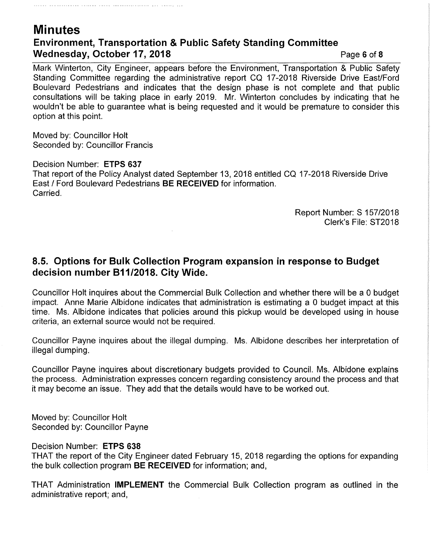# **Minutes Environment, Transportation & Public Safety Standing Committee Wednesday, October 17, 2018 Page 6 of 8 Page 6 of 8**

Mark Winterton, City Engineer, appears before the Environment, Transportation & Public Safety Standing Committee regarding the administrative report CQ 17-2018 Riverside Drive East/Ford Boulevard Pedestrians and indicates that the design phase is not complete and that public consultations will be taking place in early 2019. Mr. Winterton concludes by indicating that he wouldn't be able to guarantee what is being requested and it would be premature to consider this option at this point.

Moved by: Councillor Holt Seconded by: Councillor Francis

Decision Number: **ETPS 637**  That report of the Policy Analyst dated September 13, 2018 entitled CQ 17-2018 Riverside Drive East/ Ford Boulevard Pedestrians **BE RECEIVED** for information. Carried.

> Report Number: S 157/2018 Clerk's File: ST2018

#### **8.5. Options for Bulk Collection Program expansion in response to Budget decision number 811/2018. City Wide.**

Councillor Holt inquires about the Commercial Bulk Collection and whether there will be a O budget impact. Anne Marie Albidone indicates that administration is estimating a O budget impact at this time. Ms. Albidone indicates that policies around this pickup would be developed using in house criteria, an external source would not be required.

Councillor Payne inquires about the illegal dumping. Ms. Albidone describes her interpretation of illegal dumping.

Councillor Payne inquires about discretionary budgets provided to Council. Ms. Albidone explains the process. Administration expresses concern regarding consistency around the process and that it may become an issue. They add that the details would have to be worked out.

Moved by: Councillor Holt Seconded by: Councillor Payne

Decision Number: **ETPS 638** 

THAT the report of the City Engineer dated February 15, 2018 regarding the options for expanding the bulk collection program **BE RECEIVED** for information; and,

THAT Administration **IMPLEMENT** the Commercial Bulk Collection program as outlined in the administrative report; and,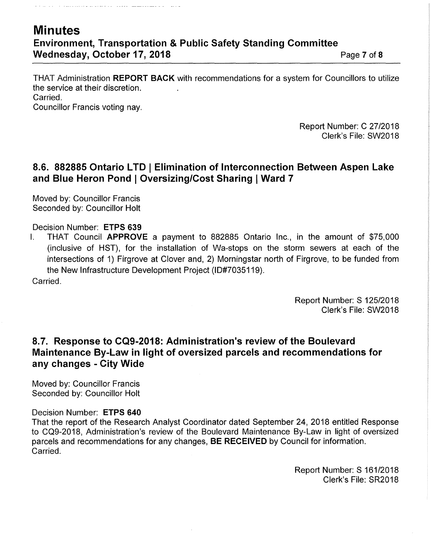# **Minutes Environment, Transportation & Public Safety Standing Committee Wednesday, October 17, 2018 Page 7 of 8 Page 7 of 8**

 $\sim 100$   $\sim$ 

THAT Administration **REPORT BACK** with recommendations for a system for Councillors to utilize the service at their discretion. Carried.

Councillor Francis voting nay.

. . . . . . . . . . . . . . . . . . . .

Report Number: C 27/2018 Clerk's File: SW2018

# **8.6. 882885 Ontario LTD I Elimination of Interconnection Between Aspen Lake and Blue Heron Pond I Oversizing/Cost Sharing IWard 7**

Moved by: Councillor Francis Seconded by: Councillor Holt

#### Decision Number: **ETPS 639**

I. THAT Council **APPROVE** a payment to 882885 Ontario Inc., in the amount of \$75,000 (inclusive of HST), for the installation of Wa-stops on the storm sewers at each of the intersections of 1) Firgrove at Clover and, 2) Morningstar north of Firgrove, to be funded from the New Infrastructure Development Project (10#7035119). Carried.

> Report Number: S 125/2018 Clerk's File: SW2018

### **8.7. Response to CQ9-2018: Administration's review of the Boulevard Maintenance By-Law in light of oversized parcels and recommendations for any changes - City Wide**

Moved by: Councillor Francis Seconded by: Councillor Holt

#### Decision Number: **ETPS 640**

That the report of the Research Analyst Coordinator dated September 24, 2018 entitled Response to CQ9-2018, Administration's review of the Boulevard Maintenance By-Law in light of oversized parcels and recommendations for any changes, **BE RECEIVED** by Council for information. Carried.

> Report Number: S 161/2018 Clerk's File: SR2018